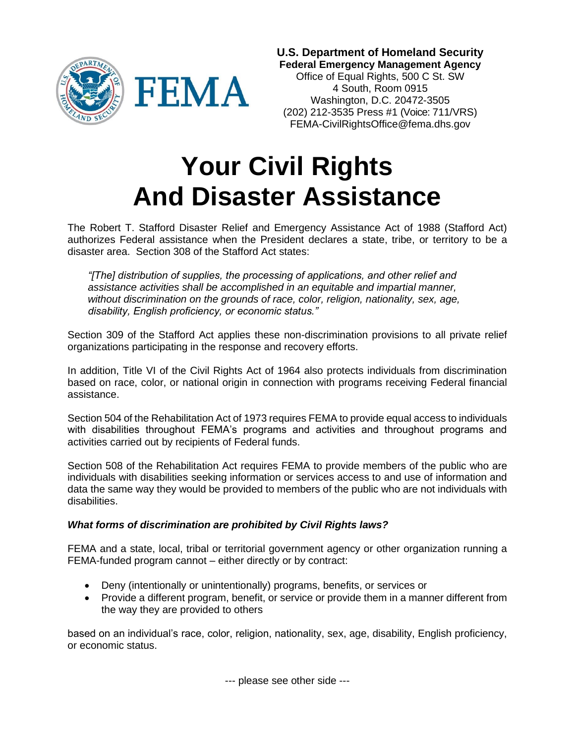

**U.S. Department of Homeland Security Federal Emergency Management Agency**

Office of Equal Rights, 500 C St. SW 4 South, Room 0915 Washington, D.C. 20472-3505 (202) 212-3535 Press #1 (Voice: 711/VRS) FEMA-CivilRightsOffice@fema.dhs.gov

# **Your Civil Rights And Disaster Assistance**

The Robert T. Stafford Disaster Relief and Emergency Assistance Act of 1988 (Stafford Act) authorizes Federal assistance when the President declares a state, tribe, or territory to be a disaster area. Section 308 of the Stafford Act states:

*"[The] distribution of supplies, the processing of applications, and other relief and assistance activities shall be accomplished in an equitable and impartial manner, without discrimination on the grounds of race, color, religion, nationality, sex, age, disability, English proficiency, or economic status."*

Section 309 of the Stafford Act applies these non-discrimination provisions to all private relief organizations participating in the response and recovery efforts.

In addition, Title VI of the Civil Rights Act of 1964 also protects individuals from discrimination based on race, color, or national origin in connection with programs receiving Federal financial assistance.

Section 504 of the Rehabilitation Act of 1973 requires FEMA to provide equal access to individuals with disabilities throughout FEMA's programs and activities and throughout programs and activities carried out by recipients of Federal funds.

Section 508 of the Rehabilitation Act requires FEMA to provide members of the public who are individuals with disabilities seeking information or services access to and use of information and data the same way they would be provided to members of the public who are not individuals with disabilities.

## *What forms of discrimination are prohibited by Civil Rights laws?*

FEMA and a state, local, tribal or territorial government agency or other organization running a FEMA-funded program cannot – either directly or by contract:

- Deny (intentionally or unintentionally) programs, benefits, or services or
- Provide a different program, benefit, or service or provide them in a manner different from the way they are provided to others

based on an individual's race, color, religion, nationality, sex, age, disability, English proficiency, or economic status.

--- please see other side ---